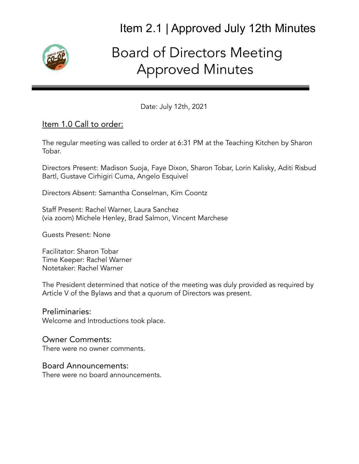

# Board of Directors Meeting Approved Minutes

Date: July 12th, 2021

#### Item 1.0 Call to order:

The regular meeting was called to order at 6:31 PM at the Teaching Kitchen by Sharon Tobar.

Directors Present: Madison Suoja, Faye Dixon, Sharon Tobar, Lorin Kalisky, Aditi Risbud Bartl, Gustave Cirhigiri Cuma, Angelo Esquivel

Directors Absent: Samantha Conselman, Kim Coontz

Staff Present: Rachel Warner, Laura Sanchez (via zoom) Michele Henley, Brad Salmon, Vincent Marchese

Guests Present: None

Facilitator: Sharon Tobar Time Keeper: Rachel Warner Notetaker: Rachel Warner

The President determined that notice of the meeting was duly provided as required by Article V of the Bylaws and that a quorum of Directors was present.

#### Preliminaries:

Welcome and Introductions took place.

#### Owner Comments:

There were no owner comments.

#### Board Announcements:

There were no board announcements.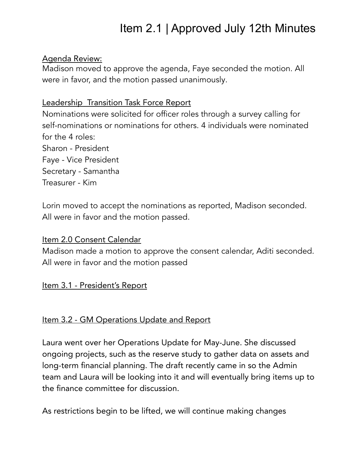#### Agenda Review:

Madison moved to approve the agenda, Faye seconded the motion. All were in favor, and the motion passed unanimously.

# Leadership Transition Task Force Report

Nominations were solicited for officer roles through a survey calling for self-nominations or nominations for others. 4 individuals were nominated for the 4 roles:

Sharon - President Faye - Vice President Secretary - Samantha Treasurer - Kim

Lorin moved to accept the nominations as reported, Madison seconded. All were in favor and the motion passed.

## Item 2.0 Consent Calendar

Madison made a motion to approve the consent calendar, Aditi seconded. All were in favor and the motion passed

## Item 3.1 - President's Report

## Item 3.2 - GM Operations Update and Report

Laura went over her Operations Update for May-June. She discussed ongoing projects, such as the reserve study to gather data on assets and long-term financial planning. The draft recently came in so the Admin team and Laura will be looking into it and will eventually bring items up to the finance committee for discussion.

As restrictions begin to be lifted, we will continue making changes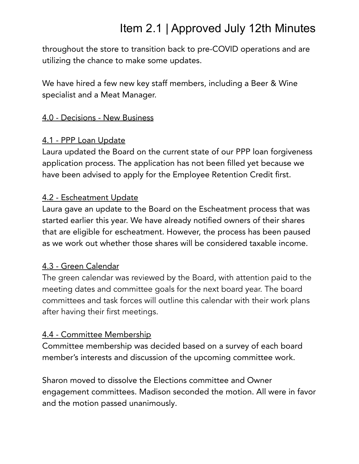throughout the store to transition back to pre-COVID operations and are utilizing the chance to make some updates.

We have hired a few new key staff members, including a Beer & Wine specialist and a Meat Manager.

## 4.0 - Decisions - New Business

## 4.1 - PPP Loan Update

Laura updated the Board on the current state of our PPP loan forgiveness application process. The application has not been filled yet because we have been advised to apply for the Employee Retention Credit first.

## 4.2 - Escheatment Update

Laura gave an update to the Board on the Escheatment process that was started earlier this year. We have already notified owners of their shares that are eligible for escheatment. However, the process has been paused as we work out whether those shares will be considered taxable income.

## 4.3 - Green Calendar

The green calendar was reviewed by the Board, with attention paid to the meeting dates and committee goals for the next board year. The board committees and task forces will outline this calendar with their work plans after having their first meetings.

## 4.4 - Committee Membership

Committee membership was decided based on a survey of each board member's interests and discussion of the upcoming committee work.

Sharon moved to dissolve the Elections committee and Owner engagement committees. Madison seconded the motion. All were in favor and the motion passed unanimously.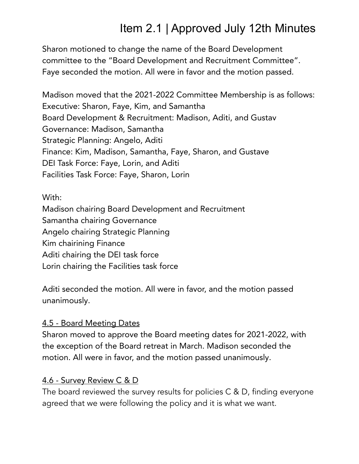Sharon motioned to change the name of the Board Development committee to the "Board Development and Recruitment Committee". Faye seconded the motion. All were in favor and the motion passed.

Madison moved that the 2021-2022 Committee Membership is as follows: Executive: Sharon, Faye, Kim, and Samantha Board Development & Recruitment: Madison, Aditi, and Gustav Governance: Madison, Samantha Strategic Planning: Angelo, Aditi Finance: Kim, Madison, Samantha, Faye, Sharon, and Gustave DEI Task Force: Faye, Lorin, and Aditi Facilities Task Force: Faye, Sharon, Lorin

## With:

Madison chairing Board Development and Recruitment Samantha chairing Governance Angelo chairing Strategic Planning Kim chairining Finance Aditi chairing the DEI task force Lorin chairing the Facilities task force

Aditi seconded the motion. All were in favor, and the motion passed unanimously.

## 4.5 - Board Meeting Dates

Sharon moved to approve the Board meeting dates for 2021-2022, with the exception of the Board retreat in March. Madison seconded the motion. All were in favor, and the motion passed unanimously.

## 4.6 - Survey Review C & D

The board reviewed the survey results for policies C & D, finding everyone agreed that we were following the policy and it is what we want.